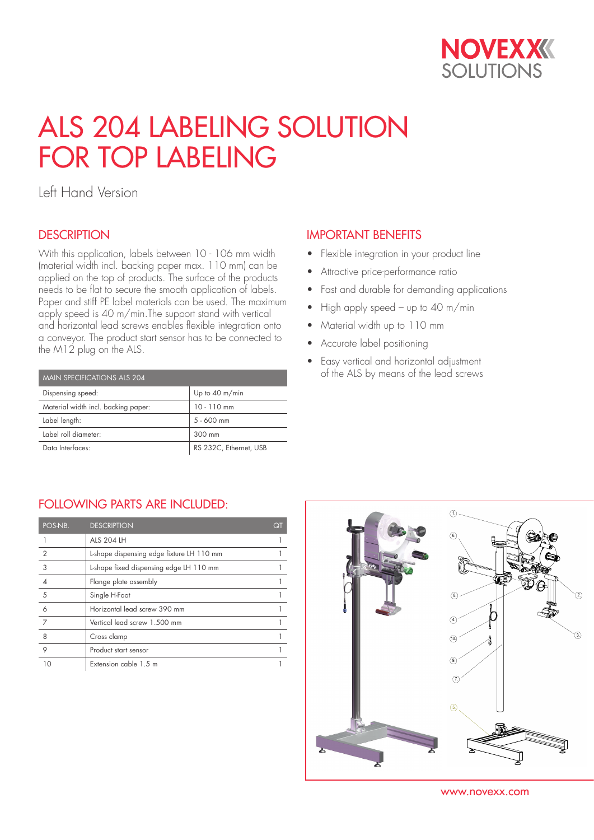

# ALS 204 LABELING SOLUTION FOR TOP LABELING

Left Hand Version

## **DESCRIPTION**

With this application, labels between 10 - 106 mm width (material width incl. backing paper max. 110 mm) can be applied on the top of products. The surface of the products needs to be flat to secure the smooth application of labels. Paper and stiff PE label materials can be used. The maximum apply speed is 40 m/min.The support stand with vertical and horizontal lead screws enables flexible integration onto a conveyor. The product start sensor has to be connected to the M12 plug on the ALS.

| MAIN SPECIFICATIONS ALS 204         |                          |  |  |  |  |
|-------------------------------------|--------------------------|--|--|--|--|
| Dispensing speed:                   | Up to $40 \text{ m/min}$ |  |  |  |  |
| Material width incl. backing paper: | $10 - 110$ mm            |  |  |  |  |
| Label length:                       | $5 - 600$ mm             |  |  |  |  |
| Label roll diameter:                | 300 mm                   |  |  |  |  |
| Data Interfaces:                    | RS 232C, Ethernet, USB   |  |  |  |  |

## IMPORTANT BENEFITS

- Flexible integration in your product line
- Attractive price-performance ratio
- Fast and durable for demanding applications
- High apply speed up to 40 m/min
- Material width up to 110 mm
- Accurate label positioning
- Easy vertical and horizontal adjustment of the ALS by means of the lead screws

### FOLLOWING PARTS ARE INCLUDED:

| POS-NB.        | <b>DESCRIPTION</b>                        | QΊ |
|----------------|-------------------------------------------|----|
|                | <b>ALS 204 LH</b>                         |    |
| $\overline{2}$ | L-shape dispensing edge fixture LH 110 mm |    |
| 3              | L-shape fixed dispensing edge LH 110 mm   |    |
|                | Flange plate assembly                     |    |
| 5              | Single H-Foot                             |    |
| 6              | Horizontal lead screw 390 mm              |    |
| 7              | Vertical lead screw 1.500 mm              |    |
| 8              | Cross clamp                               |    |
| 9              | Product start sensor                      |    |
|                | Extension cable 1.5 m                     |    |



www.novexx.com